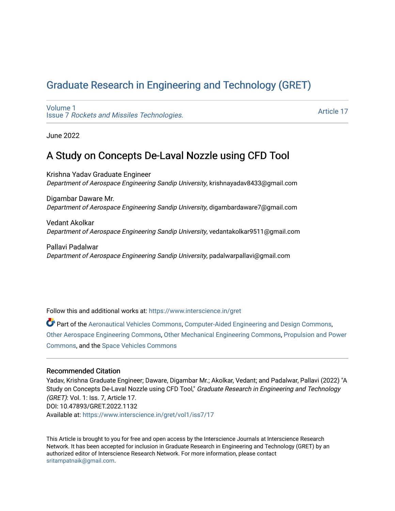# [Graduate Research in Engineering and Technology \(GRET\)](https://www.interscience.in/gret)

[Volume 1](https://www.interscience.in/gret/vol1) Issue 7 [Rockets and Missiles Technologies.](https://www.interscience.in/gret/vol1/iss7)

[Article 17](https://www.interscience.in/gret/vol1/iss7/17) 

June 2022

# A Study on Concepts De-Laval Nozzle using CFD Tool

Krishna Yadav Graduate Engineer Department of Aerospace Engineering Sandip University, krishnayadav8433@gmail.com

Digambar Daware Mr. Department of Aerospace Engineering Sandip University, digambardaware7@gmail.com

Vedant Akolkar Department of Aerospace Engineering Sandip University, vedantakolkar9511@gmail.com

Pallavi Padalwar Department of Aerospace Engineering Sandip University, padalwarpallavi@gmail.com

Follow this and additional works at: [https://www.interscience.in/gret](https://www.interscience.in/gret?utm_source=www.interscience.in%2Fgret%2Fvol1%2Fiss7%2F17&utm_medium=PDF&utm_campaign=PDFCoverPages)

Part of the [Aeronautical Vehicles Commons,](https://network.bepress.com/hgg/discipline/219?utm_source=www.interscience.in%2Fgret%2Fvol1%2Fiss7%2F17&utm_medium=PDF&utm_campaign=PDFCoverPages) [Computer-Aided Engineering and Design Commons](https://network.bepress.com/hgg/discipline/297?utm_source=www.interscience.in%2Fgret%2Fvol1%2Fiss7%2F17&utm_medium=PDF&utm_campaign=PDFCoverPages), [Other Aerospace Engineering Commons,](https://network.bepress.com/hgg/discipline/228?utm_source=www.interscience.in%2Fgret%2Fvol1%2Fiss7%2F17&utm_medium=PDF&utm_campaign=PDFCoverPages) [Other Mechanical Engineering Commons,](https://network.bepress.com/hgg/discipline/304?utm_source=www.interscience.in%2Fgret%2Fvol1%2Fiss7%2F17&utm_medium=PDF&utm_campaign=PDFCoverPages) [Propulsion and Power](https://network.bepress.com/hgg/discipline/225?utm_source=www.interscience.in%2Fgret%2Fvol1%2Fiss7%2F17&utm_medium=PDF&utm_campaign=PDFCoverPages) [Commons](https://network.bepress.com/hgg/discipline/225?utm_source=www.interscience.in%2Fgret%2Fvol1%2Fiss7%2F17&utm_medium=PDF&utm_campaign=PDFCoverPages), and the [Space Vehicles Commons](https://network.bepress.com/hgg/discipline/220?utm_source=www.interscience.in%2Fgret%2Fvol1%2Fiss7%2F17&utm_medium=PDF&utm_campaign=PDFCoverPages)

# Recommended Citation

Yadav, Krishna Graduate Engineer; Daware, Digambar Mr.; Akolkar, Vedant; and Padalwar, Pallavi (2022) "A Study on Concepts De-Laval Nozzle using CFD Tool," Graduate Research in Engineering and Technology (GRET): Vol. 1: Iss. 7, Article 17. DOI: 10.47893/GRET.2022.1132 Available at: [https://www.interscience.in/gret/vol1/iss7/17](https://www.interscience.in/gret/vol1/iss7/17?utm_source=www.interscience.in%2Fgret%2Fvol1%2Fiss7%2F17&utm_medium=PDF&utm_campaign=PDFCoverPages) 

This Article is brought to you for free and open access by the Interscience Journals at Interscience Research Network. It has been accepted for inclusion in Graduate Research in Engineering and Technology (GRET) by an authorized editor of Interscience Research Network. For more information, please contact [sritampatnaik@gmail.com](mailto:sritampatnaik@gmail.com).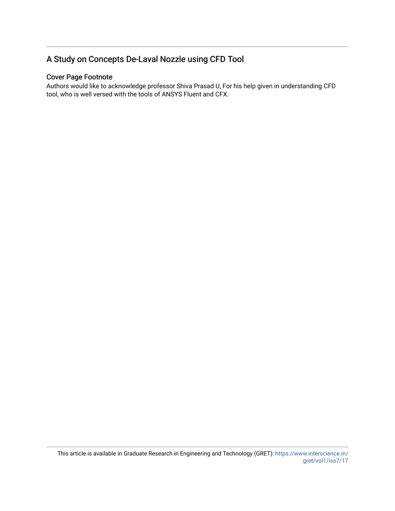# A Study on Concepts De-Laval Nozzle using CFD Tool

# Cover Page Footnote

Authors would like to acknowledge professor Shiva Prasad U, For his help given in understanding CFD tool, who is well versed with the tools of ANSYS Fluent and CFX.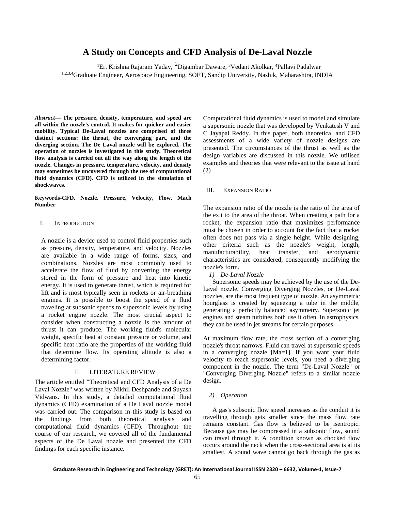# **A Study on Concepts and CFD Analysis of De-Laval Nozzle**

<sup>1</sup>Er. Krishna Rajaram Yadav, <sup>2</sup>Digambar Daware, <sup>3</sup>Vedant Akolkar, <sup>4</sup>Pallavi Padalwar 1,2,3,4Graduate Engineer, Aerospace Engineering, SOET, Sandip University, Nashik, Maharashtra, INDIA

*Abstract***— The pressure, density, temperature, and speed are all within the nozzle's control. It makes for quicker and easier mobility. Typical De-Laval nozzles are comprised of three distinct sections: the throat, the converging part, and the diverging section. The De Laval nozzle will be explored. The operation of nozzles is investigated in this study. Theoretical flow analysis is carried out all the way along the length of the nozzle. Changes in pressure, temperature, velocity, and density may sometimes be uncovered through the use of computational fluid dynamics (CFD). CFD is utilized in the simulation of shockwaves.**

**Keywords-CFD, Nozzle, Pressure, Velocity, Flow, Mach Number**

# I. INTRODUCTION

A nozzle is a device used to control fluid properties such as pressure, density, temperature, and velocity. Nozzles are available in a wide range of forms, sizes, and combinations. Nozzles are most commonly used to accelerate the flow of fluid by converting the energy stored in the form of pressure and heat into kinetic energy. It is used to generate thrust, which is required for lift and is most typically seen in rockets or air-breathing engines. It is possible to boost the speed of a fluid traveling at subsonic speeds to supersonic levels by using a rocket engine nozzle. The most crucial aspect to consider when constructing a nozzle is the amount of thrust it can produce. The working fluid's molecular weight, specific heat at constant pressure or volume, and specific heat ratio are the properties of the working fluid that determine flow. Its operating altitude is also a determining factor.

# II. LITERATURE REVIEW

The article entitled "Theoretical and CFD Analysis of a De Laval Nozzle" was written by Nikhil Deshpande and Suyash Vidwans. In this study, a detailed computational fluid dynamics (CFD) examination of a De Laval nozzle model was carried out. The comparison in this study is based on the findings from both theoretical analysis and computational fluid dynamics (CFD). Throughout the course of our research, we covered all of the fundamental aspects of the De Laval nozzle and presented the CFD findings for each specific instance.

Computational fluid dynamics is used to model and simulate a supersonic nozzle that was developed by Venkatesh V and C Jayapal Reddy. In this paper, both theoretical and CFD assessments of a wide variety of nozzle designs are presented. The circumstances of the thrust as well as the design variables are discussed in this nozzle. We utilised examples and theories that were relevant to the issue at hand (2)

# III. EXPANSION RATIO

The expansion ratio of the nozzle is the ratio of the area of the exit to the area of the throat. When creating a path for a rocket, the expansion ratio that maximizes performance must be chosen in order to account for the fact that a rocket often does not pass via a single height. While designing, other criteria such as the nozzle's weight, length, manufacturability, heat transfer, and aerodynamic characteristics are considered, consequently modifying the nozzle's form.

*1) De-Laval Nozzle*

Supersonic speeds may be achieved by the use of the De-Laval nozzle. Converging Diverging Nozzles, or De-Laval nozzles, are the most frequent type of nozzle. An asymmetric hourglass is created by squeezing a tube in the middle, generating a perfectly balanced asymmetry. Supersonic jet engines and steam turbines both use it often. In astrophysics, they can be used in jet streams for certain purposes.

At maximum flow rate, the cross section of a converging nozzle's throat narrows. Fluid can travel at supersonic speeds in a converging nozzle [Ma=1]. If you want your fluid velocity to reach supersonic levels, you need a diverging component in the nozzle. The term "De-Laval Nozzle" or "Converging Diverging Nozzle" refers to a similar nozzle design.

## *2) Operation*

A gas's subsonic flow speed increases as the conduit it is travelling through gets smaller since the mass flow rate remains constant. Gas flow is believed to be isentropic. Because gas may be compressed in a subsonic flow, sound can travel through it. A condition known as chocked flow occurs around the neck when the cross-sectional area is at its smallest. A sound wave cannot go back through the gas as

**Graduate Research in Engineering and Technology (GRET): An International Journal ISSN 2320 – 6632, Volume-1, Issue-7**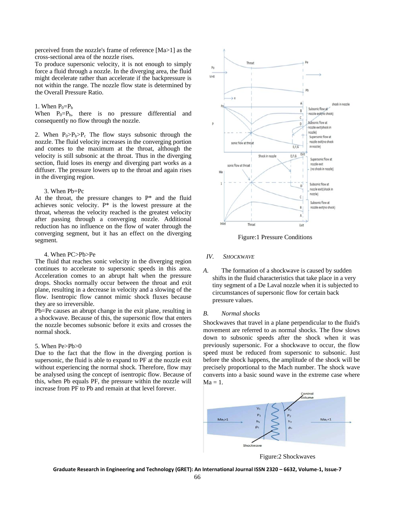perceived from the nozzle's frame of reference [Ma>1] as the cross-sectional area of the nozzle rises.

To produce supersonic velocity, it is not enough to simply force a fluid through a nozzle. In the diverging area, the fluid might decelerate rather than accelerate if the backpressure is not within the range. The nozzle flow state is determined by the Overall Pressure Ratio.

# 1. When  $P_0 = P_b$

When  $P_0 = P_b$ , there is no pressure differential and consequently no flow through the nozzle.

2. When  $P_0 > P_b > P_c$  The flow stays subsonic through the nozzle. The fluid velocity increases in the converging portion and comes to the maximum at the throat, although the velocity is still subsonic at the throat. Thus in the diverging section, fluid loses its energy and diverging part works as a diffuser. The pressure lowers up to the throat and again rises in the diverging region.

# 3. When Pb=Pc

At the throat, the pressure changes to P\* and the fluid achieves sonic velocity. P\* is the lowest pressure at the throat, whereas the velocity reached is the greatest velocity after passing through a converging nozzle. Additional reduction has no influence on the flow of water through the converging segment, but it has an effect on the diverging segment.

#### 4. When PC>Pb>Pe

The fluid that reaches sonic velocity in the diverging region continues to accelerate to supersonic speeds in this area. Acceleration comes to an abrupt halt when the pressure drops. Shocks normally occur between the throat and exit plane, resulting in a decrease in velocity and a slowing of the flow. Isentropic flow cannot mimic shock fluxes because they are so irreversible.

Pb=Pe causes an abrupt change in the exit plane, resulting in a shockwave. Because of this, the supersonic flow that enters the nozzle becomes subsonic before it exits and crosses the normal shock.

### 5. When Pe>Pb>0

Due to the fact that the flow in the diverging portion is supersonic, the fluid is able to expand to PF at the nozzle exit without experiencing the normal shock. Therefore, flow may be analysed using the concept of isentropic flow. Because of this, when Pb equals PF, the pressure within the nozzle will increase from PF to Pb and remain at that level forever.



Figure:1 Pressure Conditions

#### *IV. SHOCKWAVE*

*A.* The formation of a shockwave is caused by sudden shifts in the fluid characteristics that take place in a very tiny segment of a De Laval nozzle when it is subjected to circumstances of supersonic flow for certain back pressure values.

#### *B. Normal shocks*

Shockwaves that travel in a plane perpendicular to the fluid's movement are referred to as normal shocks. The flow slows down to subsonic speeds after the shock when it was previously supersonic. For a shockwave to occur, the flow speed must be reduced from supersonic to subsonic. Just before the shock happens, the amplitude of the shock will be precisely proportional to the Mach number. The shock wave converts into a basic sound wave in the extreme case where  $Ma = 1$ .



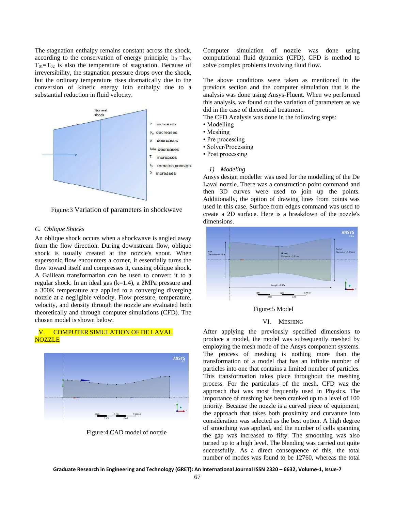The stagnation enthalpy remains constant across the shock, according to the conservation of energy principle;  $h_{01} = h_{02}$ .  $T_{01}=T_{02}$  is also the temperature of stagnation. Because of irreversibility, the stagnation pressure drops over the shock, but the ordinary temperature rises dramatically due to the conversion of kinetic energy into enthalpy due to a substantial reduction in fluid velocity.



Figure:3 Variation of parameters in shockwave

# *C. Oblique Shocks*

An oblique shock occurs when a shockwave is angled away from the flow direction. During downstream flow, oblique shock is usually created at the nozzle's snout. When supersonic flow encounters a corner, it essentially turns the flow toward itself and compresses it, causing oblique shock. A Galilean transformation can be used to convert it to a regular shock. In an ideal gas (k=1.4), a 2MPa pressure and a 300K temperature are applied to a converging diverging nozzle at a negligible velocity. Flow pressure, temperature, velocity, and density through the nozzle are evaluated both theoretically and through computer simulations (CFD). The chosen model is shown below.

# V. COMPUTER SIMULATION OF DE LAVAL **NOZZLE**



Figure:4 CAD model of nozzle

Computer simulation of nozzle was done using computational fluid dynamics (CFD). CFD is method to solve complex problems involving fluid flow.

The above conditions were taken as mentioned in the previous section and the computer simulation that is the analysis was done using Ansys-Fluent. When we performed this analysis, we found out the variation of parameters as we did in the case of theoretical treatment.

The CFD Analysis was done in the following steps:

- Modelling
- Meshing
- Pre processing
- Solver/Processing
- Post processing

#### *1) Modeling*

Ansys design modeller was used for the modelling of the De Laval nozzle. There was a construction point command and then 3D curves were used to join up the points. Additionally, the option of drawing lines from points was used in this case. Surface from edges command was used to create a 2D surface. Here is a breakdown of the nozzle's dimensions.



## Figure:5 Model

#### VI. MESHING

After applying the previously specified dimensions to produce a model, the model was subsequently meshed by employing the mesh mode of the Ansys component systems. The process of meshing is nothing more than the transformation of a model that has an infinite number of particles into one that contains a limited number of particles. This transformation takes place throughout the meshing process. For the particulars of the mesh, CFD was the approach that was most frequently used in Physics. The importance of meshing has been cranked up to a level of 100 priority. Because the nozzle is a curved piece of equipment, the approach that takes both proximity and curvature into consideration was selected as the best option. A high degree of smoothing was applied, and the number of cells spanning the gap was increased to fifty. The smoothing was also turned up to a high level. The blending was carried out quite successfully. As a direct consequence of this, the total number of modes was found to be 12760, whereas the total

**Graduate Research in Engineering and Technology (GRET): An International Journal ISSN 2320 – 6632, Volume-1, Issue-7**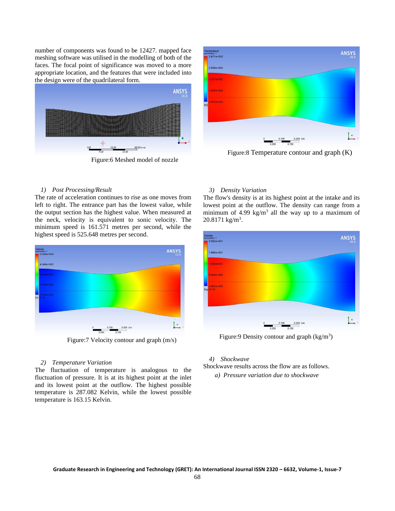number of components was found to be 12427. mapped face meshing software was utilised in the modelling of both of the faces. The focal point of significance was moved to a more appropriate location, and the features that were included into the design were of the quadrilateral form.



Figure:6 Meshed model of nozzle



Figure:8 Temperature contour and graph (K)

# *1) Post Processing/Result*

The rate of acceleration continues to rise as one moves from left to right. The entrance part has the lowest value, while the output section has the highest value. When measured at the neck, velocity is equivalent to sonic velocity. The minimum speed is 161.571 metres per second, while the highest speed is 525.648 metres per second.



Figure:7 Velocity contour and graph (m/s)

# *2) Temperature Variation*

The fluctuation of temperature is analogous to the fluctuation of pressure. It is at its highest point at the inlet and its lowest point at the outflow. The highest possible temperature is 287.082 Kelvin, while the lowest possible temperature is 163.15 Kelvin.

## *3) Density Variation*

The flow's density is at its highest point at the intake and its lowest point at the outflow. The density can range from a minimum of 4.99 kg/m<sup>3</sup> all the way up to a maximum of  $20.8171 \text{ kg/m}^3$ .



Figure: 9 Density contour and graph (kg/m<sup>3</sup>)

#### *4) Shockwave*

Shockwave results across the flow are as follows.

*a) Pressure variation due to shockwave*